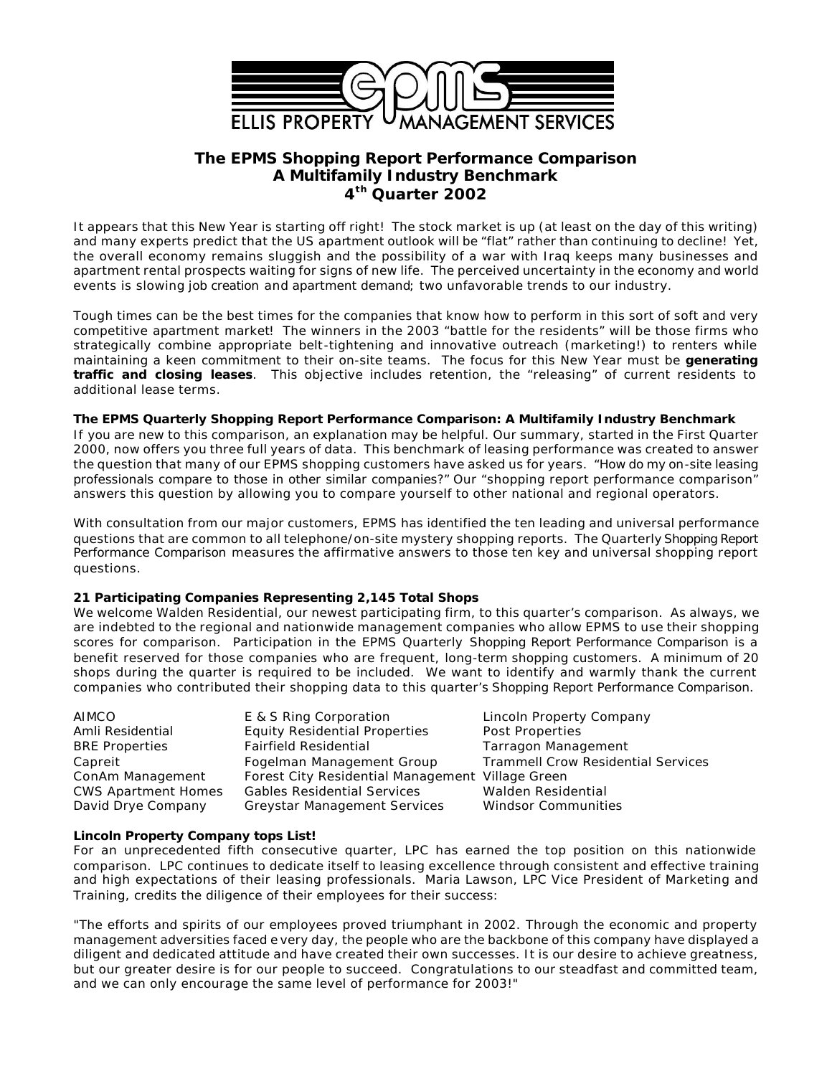

# **The EPMS** *Shopping Report Performance Comparison* **A Multifamily Industry Benchmark 4 th Quarter 2002**

It appears that this New Year is starting off right! The stock market is up (at least on the day of this writing) and many experts predict that the US apartment outlook will be "flat" rather than continuing to decline! Yet, the overall economy remains sluggish and the possibility of a war with Iraq keeps many businesses and apartment rental prospects waiting for signs of new life. The perceived uncertainty in the economy and world events is slowing *job creation* and *apartment demand*; two unfavorable trends to our industry.

Tough times can be the best times for the companies that know how to perform in this sort of soft and very competitive apartment market! The winners in the 2003 "battle for the residents" will be those firms who strategically combine appropriate belt-tightening and innovative outreach (marketing!) to renters while maintaining a keen commitment to their on-site teams. The focus for this New Year must be **generating traffic and closing leases**. This objective includes retention, the "releasing" of current residents to additional lease terms.

#### **The EPMS Quarterly Shopping Report Performance Comparison: A Multifamily Industry Benchmark**

If you are new to this comparison, an explanation may be helpful. Our summary, started in the First Quarter 2000, now offers you three full years of data. This benchmark of leasing performance was created to answer the question that many of our EPMS shopping customers have asked us for years. *"How do my on-site leasing professionals compare to those in other similar companies?"* Our "shopping report performance comparison" answers this question by allowing you to compare yourself to other national and regional operators.

With consultation from our major customers, EPMS has identified the ten leading and universal performance questions that are common to all telephone/on-site mystery shopping reports. The Quarterly *Shopping Report Performance Comparison* measures the affirmative answers to those ten key and universal shopping report questions.

# **21 Participating Companies Representing 2,145 Total Shops**

We welcome Walden Residential, our newest participating firm, to this quarter's comparison. As always, we are indebted to the regional and nationwide management companies who allow EPMS to use their shopping scores for comparison. Participation in the EPMS Quarterly *Shopping Report Performance Comparison* is a benefit reserved for those companies who are frequent, long-term shopping customers. A minimum of 20 shops during the quarter is required to be included. We want to identify and warmly thank the current companies who contributed their shopping data to this quarter's *Shopping Report Performance Comparison.*

| AIMCO                      | E & S Ring Corporation                           | Lincoln Property Company                  |
|----------------------------|--------------------------------------------------|-------------------------------------------|
| Amli Residential           | <b>Equity Residential Properties</b>             | Post Properties                           |
| <b>BRE Properties</b>      | <b>Fairfield Residential</b>                     | <b>Tarragon Management</b>                |
| Capreit                    | Fogelman Management Group                        | <b>Trammell Crow Residential Services</b> |
| ConAm Management           | Forest City Residential Management Village Green |                                           |
| <b>CWS Apartment Homes</b> | <b>Gables Residential Services</b>               | Walden Residential                        |
| David Drye Company         | <b>Greystar Management Services</b>              | <b>Windsor Communities</b>                |

#### **Lincoln Property Company tops List!**

For an unprecedented fifth consecutive quarter, LPC has earned the top position on this nationwide comparison. LPC continues to dedicate itself to leasing excellence through consistent and effective training and high expectations of their leasing professionals. Maria Lawson, LPC Vice President of Marketing and Training, credits the diligence of their employees for their success:

"The efforts and spirits of our employees proved triumphant in 2002. Through the economic and property management adversities faced e very day, the people who are the backbone of this company have displayed a diligent and dedicated attitude and have created their own successes. It is our desire to achieve greatness, but our greater desire is for our people to succeed. Congratulations to our steadfast and committed team, and we can only encourage the same level of performance for 2003!"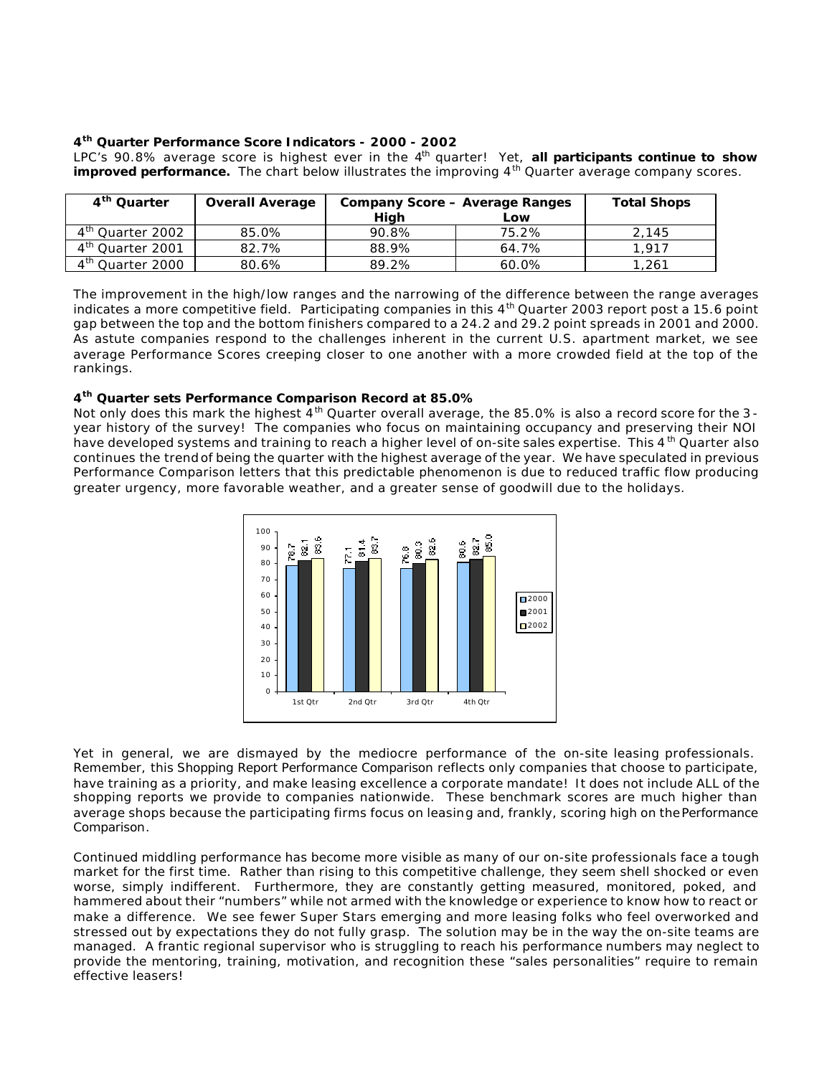# **4 th Quarter Performance Score Indicators - 2000 - 2002**

LPC's 90.8% average score is highest ever in the 4<sup>th</sup> quarter! Yet, all participants continue to show **improved performance.** The chart below illustrates the improving 4<sup>th</sup> Quarter average company scores.

| 4 <sup>th</sup> Quarter      | <b>Overall Average</b> | <b>Company Score - Average Ranges</b> | <b>Total Shops</b> |       |  |  |  |
|------------------------------|------------------------|---------------------------------------|--------------------|-------|--|--|--|
|                              |                        | High                                  | Low                |       |  |  |  |
| 4 <sup>th</sup> Quarter 2002 | 85.0%                  | 90.8%                                 | 75.2%              | 2.145 |  |  |  |
| 4 <sup>th</sup> Quarter 2001 | 82.7%                  | 88.9%                                 | 64.7%              | 1.917 |  |  |  |
| 4 <sup>th</sup> Quarter 2000 | 80.6%                  | 89.2%                                 | 60.0%              | 1,261 |  |  |  |

The improvement in the high/low ranges and the narrowing of the difference between the range averages indicates a more competitive field. Participating companies in this  $4<sup>th</sup>$  Quarter 2003 report post a 15.6 point gap between the top and the bottom finishers compared to a 24.2 and 29.2 point spreads in 2001 and 2000. As astute companies respond to the challenges inherent in the current U.S. apartment market, we see average Performance Scores creeping closer to one another with a more crowded field at the top of the rankings.

# **4 th Quarter sets Performance Comparison Record at 85.0%**

Not only does this mark the highest  $4<sup>th</sup>$  Quarter overall average, the 85.0% is also a record score for the 3year history of the survey! The companies who focus on maintaining occupancy and preserving their NOI have developed systems and training to reach a higher level of on-site sales expertise. This 4<sup>th</sup> Quarter also continues the trend of being the quarter with the highest average of the year. We have speculated in previous Performance Comparison letters that this predictable phenomenon is due to reduced traffic flow producing greater urgency, more favorable weather, and a greater sense of goodwill due to the holidays.



Yet in general, we are dismayed by the mediocre performance of the on-site leasing professionals. Remember, this *Shopping Report Performance Comparison* reflects only companies that choose to participate, have training as a priority, and make leasing excellence a corporate mandate! It does not include ALL of the shopping reports we provide to companies nationwide. These benchmark scores are much higher than average shops because the participating firms focus on leasing and, frankly, scoring high on the *Performance Comparison*.

Continued middling performance has become more visible as many of our on-site professionals face a tough market for the first time. Rather than rising to this competitive challenge, they seem shell shocked or even worse, simply indifferent. Furthermore, they are constantly getting measured, monitored, poked, and hammered about their "numbers" while not armed with the knowledge or experience to know how to react or make a difference. We see fewer Super Stars emerging and more leasing folks who feel overworked and stressed out by expectations they do not fully grasp. The solution may be in the way the on-site teams are managed. A frantic regional supervisor who is struggling to reach his performance numbers may neglect to provide the mentoring, training, motivation, and recognition these "sales personalities" require to remain effective leasers!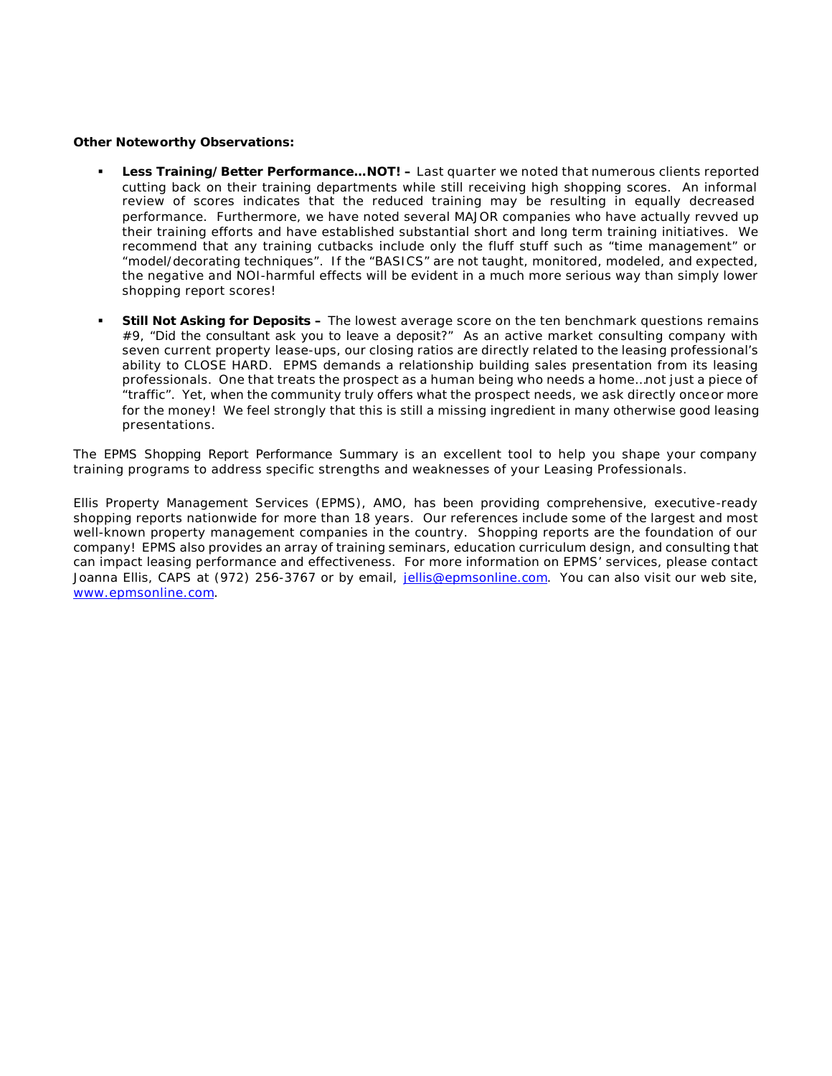### **Other Noteworthy Observations:**

- ß **Less Training/Better Performance…NOT! –** Last quarter we noted that numerous clients reported cutting back on their training departments while still receiving high shopping scores. An informal review of scores indicates that the reduced training may be resulting in equally decreased performance. Furthermore, we have noted several MAJOR companies who have actually revved up their training efforts and have established substantial short and long term training initiatives. We recommend that any training cutbacks include only the fluff stuff such as "time management" or "model/decorating techniques". If the "BASICS" are not taught, monitored, modeled, and expected, the negative and NOI-harmful effects will be evident in a much more serious way than simply lower shopping report scores!
- ß **Still Not Asking for Deposits –** The lowest average score on the ten benchmark questions remains #9, *"Did the consultant ask you to leave a deposit?"* As an active market consulting company with seven current property lease-ups, our closing ratios are directly related to the leasing professional's ability to CLOSE HARD. EPMS demands a relationship building sales presentation from its leasing professionals. One that treats the prospect as a human being who needs a home…not just a piece of "traffic". Yet, when the community truly offers what the prospect needs, we ask directly once *or more* for the money! We feel strongly that this is still a missing ingredient in many otherwise good leasing presentations.

The *EPMS Shopping Report Performance Summary* is an excellent tool to help you shape your company training programs to address specific strengths and weaknesses of your Leasing Professionals.

Ellis Property Management Services (EPMS), AMO, has been providing comprehensive, executive-ready shopping reports nationwide for more than 18 years. Our references include some of the largest and most well-known property management companies in the country. Shopping reports are the foundation of our company! EPMS also provides an array of training seminars, education curriculum design, and consulting that can impact leasing performance and effectiveness. For more information on EPMS' services, please contact Joanna Ellis, CAPS at (972) 256-3767 or by email, jellis@epmsonline.com. You can also visit our web site, www.epmsonline.com.